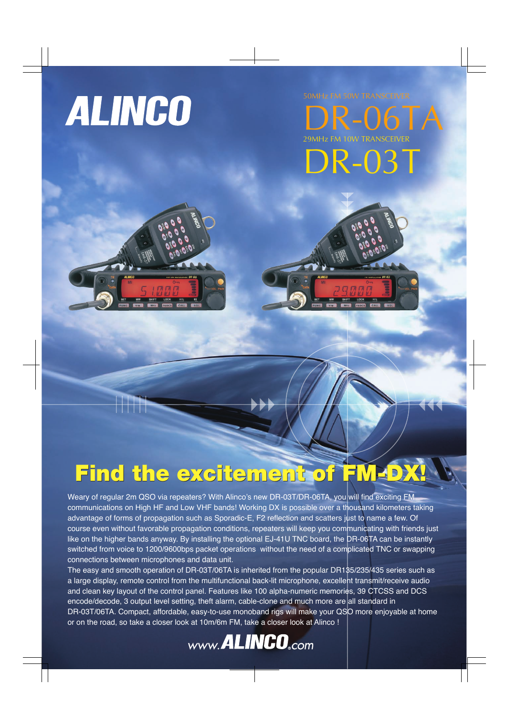# **ALINGO**

50MHz FM 50W TRANSCEIVER

R-06T 29MHz FM 10W TRANSCEIVER DR-03T



# Find the excitement of FM-DX

Weary of regular 2m QSO via repeaters? With Alinco's new DR-03T/DR-06TA, you will find exciting FM communications on High HF and Low VHF bands! Working DX is possible over a thousand kilometers taking advantage of forms of propagation such as Sporadic-E, F2 reflection and scatters just to name a few. Of course even without favorable propagation conditions, repeaters will keep you communicating with friends just like on the higher bands anyway. By installing the optional EJ-41U TNC board, the DR-06TA can be instantly switched from voice to 1200/9600bps packet operations without the need of a complicated TNC or swapping connections between microphones and data unit.

The easy and smooth operation of DR-03T/06TA is inherited from the popular DR135/235/435 series such as a large display, remote control from the multifunctional back-lit microphone, excellent transmit/receive audio and clean key layout of the control panel. Features like 100 alpha-numeric memories, 39 CTCSS and DCS encode/decode, 3 output level setting, theft alarm, cable-clone and much more are all standard in DR-03T/06TA. Compact, affordable, easy-to-use monoband rigs will make your QSO more enjoyable at home or on the road, so take a closer look at 10m/6m FM, take a closer look at Alinco !